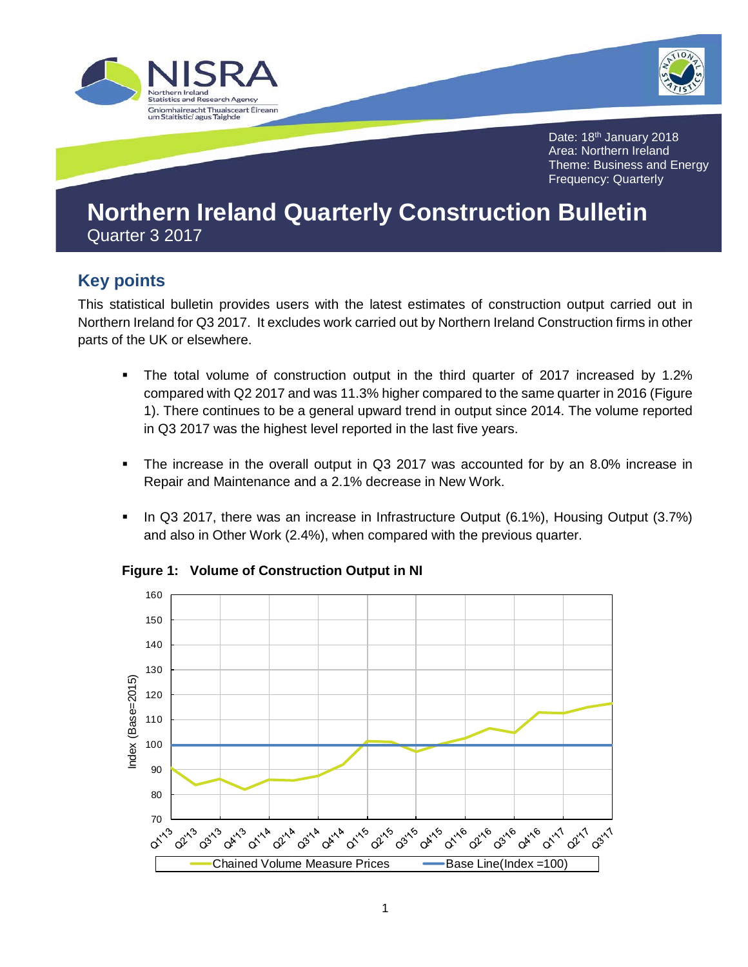



Date: 18<sup>th</sup> January 2018 Area: Northern Ireland Theme: Business and Energy Frequency: Quarterly

# **Northern Ireland Quarterly Construction Bulletin**  Quarter 3 2017

# **Key points**

This statistical bulletin provides users with the latest estimates of construction output carried out in Northern Ireland for Q3 2017. It excludes work carried out by Northern Ireland Construction firms in other parts of the UK or elsewhere.

- The total volume of construction output in the third quarter of 2017 increased by 1.2% compared with Q2 2017 and was 11.3% higher compared to the same quarter in 2016 (Figure 1). There continues to be a general upward trend in output since 2014. The volume reported in Q3 2017 was the highest level reported in the last five years.
- The increase in the overall output in Q3 2017 was accounted for by an 8.0% increase in Repair and Maintenance and a 2.1% decrease in New Work.
- In Q3 2017, there was an increase in Infrastructure Output (6.1%), Housing Output (3.7%) and also in Other Work (2.4%), when compared with the previous quarter.



#### **Figure 1: Volume of Construction Output in NI**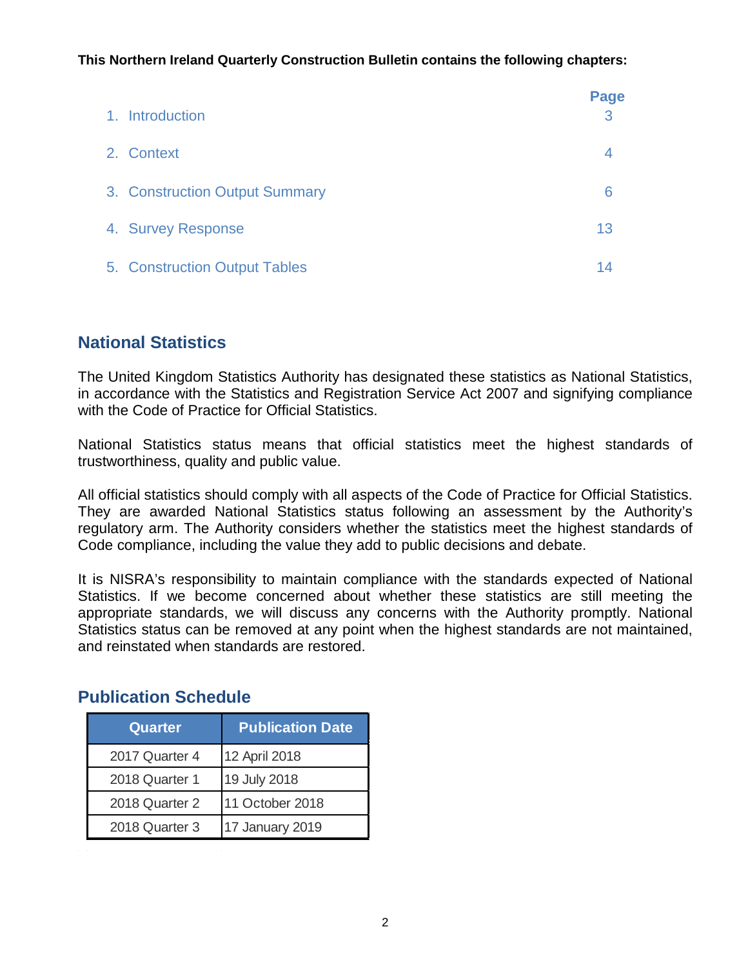**This Northern Ireland Quarterly Construction Bulletin contains the following chapters:**

| 1. Introduction                | Page<br>3 |
|--------------------------------|-----------|
| 2. Context                     | 4         |
| 3. Construction Output Summary | 6         |
| 4. Survey Response             | 13        |
| 5. Construction Output Tables  | 14        |

## **National Statistics**

The United Kingdom Statistics Authority has designated these statistics as National Statistics, in accordance with the Statistics and Registration Service Act 2007 and signifying compliance with the Code of Practice for Official Statistics.

National Statistics status means that official statistics meet the highest standards of trustworthiness, quality and public value.

All official statistics should comply with all aspects of the Code of Practice for Official Statistics. They are awarded National Statistics status following an assessment by the Authority's regulatory arm. The Authority considers whether the statistics meet the highest standards of Code compliance, including the value they add to public decisions and debate.

It is NISRA's responsibility to maintain compliance with the standards expected of National Statistics. If we become concerned about whether these statistics are still meeting the appropriate standards, we will discuss any concerns with the Authority promptly. National Statistics status can be removed at any point when the highest standards are not maintained, and reinstated when standards are restored.

| <b>Quarter</b> | <b>Publication Date</b> |  |  |  |  |  |  |
|----------------|-------------------------|--|--|--|--|--|--|
| 2017 Quarter 4 | 12 April 2018           |  |  |  |  |  |  |
| 2018 Quarter 1 | 19 July 2018            |  |  |  |  |  |  |
| 2018 Quarter 2 | 11 October 2018         |  |  |  |  |  |  |
| 2018 Quarter 3 | 17 January 2019         |  |  |  |  |  |  |

 $\mathcal{L}_{\text{max}}$ 

#### **Publication Schedule**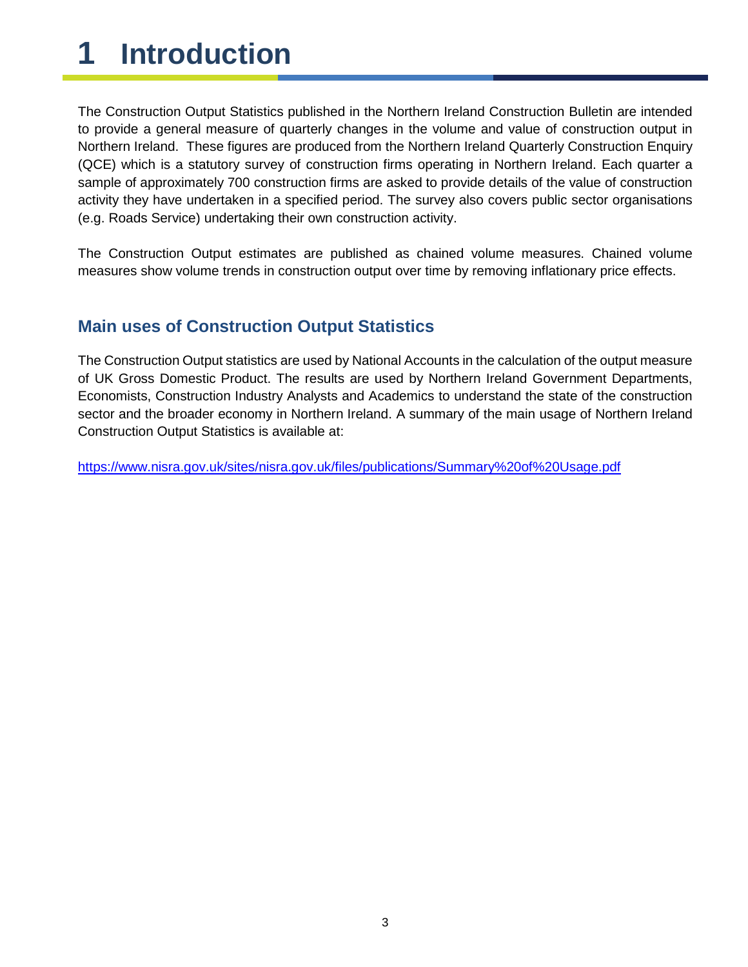# <span id="page-2-0"></span>**1 Introduction**

The Construction Output Statistics published in the Northern Ireland Construction Bulletin are intended to provide a general measure of quarterly changes in the volume and value of construction output in Northern Ireland. These figures are produced from the Northern Ireland Quarterly Construction Enquiry (QCE) which is a statutory survey of construction firms operating in Northern Ireland. Each quarter a sample of approximately 700 construction firms are asked to provide details of the value of construction activity they have undertaken in a specified period. The survey also covers public sector organisations (e.g. Roads Service) undertaking their own construction activity.

The Construction Output estimates are published as chained volume measures. Chained volume measures show volume trends in construction output over time by removing inflationary price effects.

## **Main uses of Construction Output Statistics**

The Construction Output statistics are used by National Accounts in the calculation of the output measure of UK Gross Domestic Product. The results are used by Northern Ireland Government Departments, Economists, Construction Industry Analysts and Academics to understand the state of the construction sector and the broader economy in Northern Ireland. A summary of the main usage of Northern Ireland Construction Output Statistics is available at:

<https://www.nisra.gov.uk/sites/nisra.gov.uk/files/publications/Summary%20of%20Usage.pdf>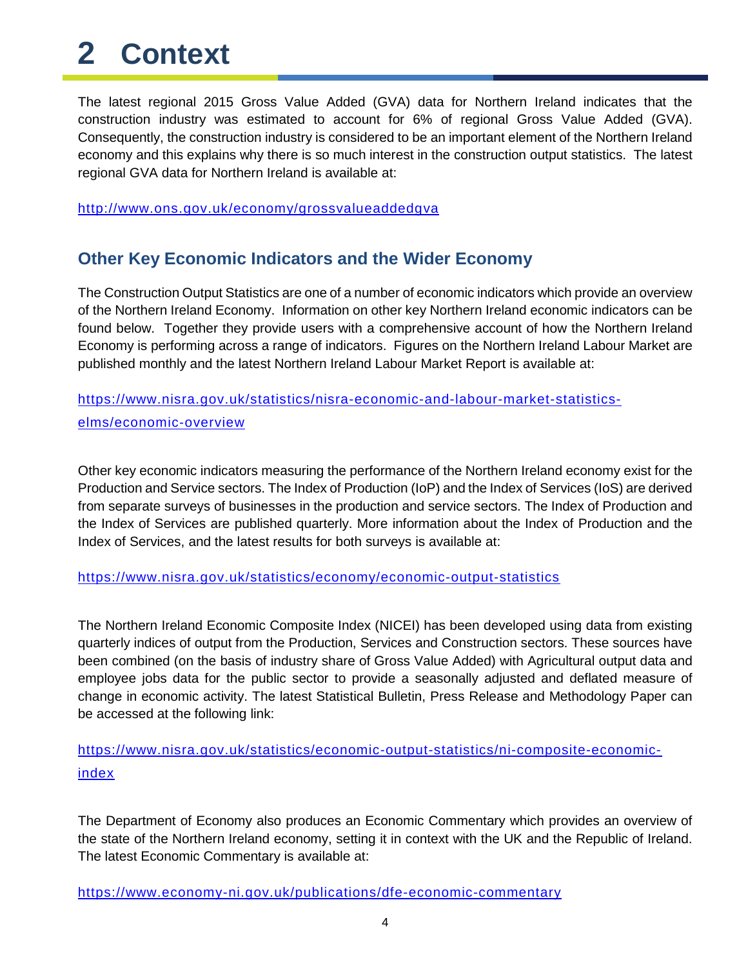# <span id="page-3-0"></span>**2 Context**

The latest regional 2015 Gross Value Added (GVA) data for Northern Ireland indicates that the construction industry was estimated to account for 6% of regional Gross Value Added (GVA). Consequently, the construction industry is considered to be an important element of the Northern Ireland economy and this explains why there is so much interest in the construction output statistics. The latest regional GVA data for Northern Ireland is available at:

<http://www.ons.gov.uk/economy/grossvalueaddedgva>

#### **Other Key Economic Indicators and the Wider Economy**

The Construction Output Statistics are one of a number of economic indicators which provide an overview of the Northern Ireland Economy. Information on other key Northern Ireland economic indicators can be found below. Together they provide users with a comprehensive account of how the Northern Ireland Economy is performing across a range of indicators. Figures on the Northern Ireland Labour Market are published monthly and the latest Northern Ireland Labour Market Report is available at:

[https://www.nisra.gov.uk/statistics/nisra-economic-and-labour-market-statistics](https://www.nisra.gov.uk/statistics/nisra-economic-and-labour-market-statistics-elms/economic-overview)[elms/economic-overview](https://www.nisra.gov.uk/statistics/nisra-economic-and-labour-market-statistics-elms/economic-overview)

Other key economic indicators measuring the performance of the Northern Ireland economy exist for the Production and Service sectors. The Index of Production (IoP) and the Index of Services (IoS) are derived from separate surveys of businesses in the production and service sectors. The Index of Production and the Index of Services are published quarterly. More information about the Index of Production and the Index of Services, and the latest results for both surveys is available at:

<https://www.nisra.gov.uk/statistics/economy/economic-output-statistics>

The Northern Ireland Economic Composite Index (NICEI) has been developed using data from existing quarterly indices of output from the Production, Services and Construction sectors. These sources have been combined (on the basis of industry share of Gross Value Added) with Agricultural output data and employee jobs data for the public sector to provide a seasonally adjusted and deflated measure of change in economic activity. The latest Statistical Bulletin, Press Release and Methodology Paper can be accessed at the following link:

[https://www.nisra.gov.uk/statistics/economic-output-statistics/ni-composite-economic](https://www.nisra.gov.uk/statistics/economic-output-statistics/ni-composite-economic-index)[index](https://www.nisra.gov.uk/statistics/economic-output-statistics/ni-composite-economic-index)

The Department of Economy also produces an Economic Commentary which provides an overview of the state of the Northern Ireland economy, setting it in context with the UK and the Republic of Ireland. The latest Economic Commentary is available at:

<https://www.economy-ni.gov.uk/publications/dfe-economic-commentary>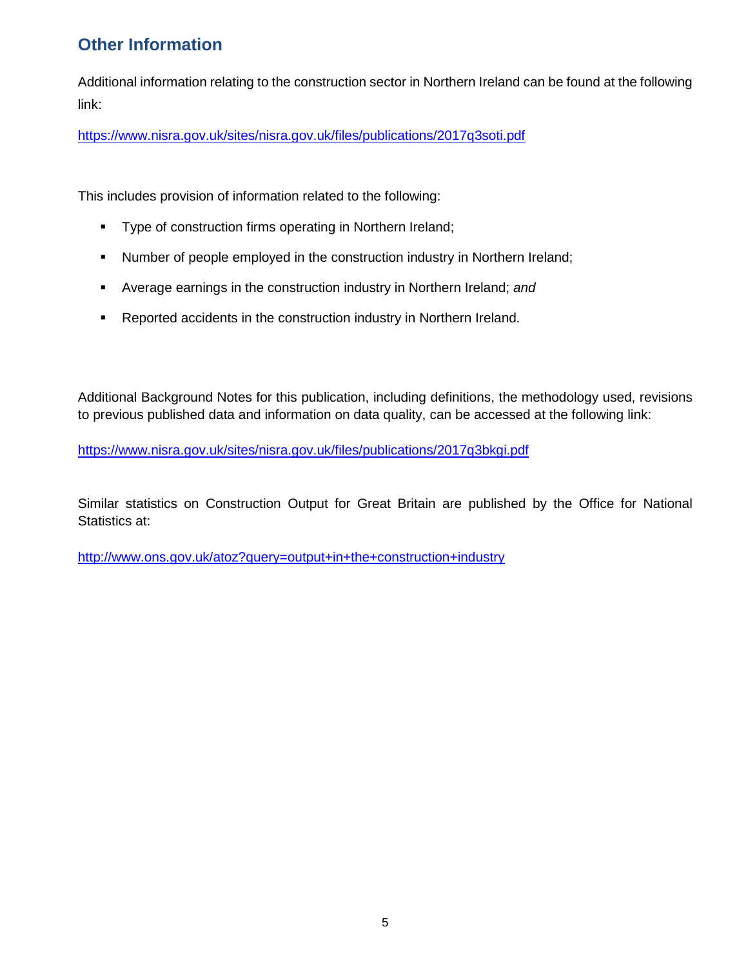# **Other Information**

Additional information relating to the construction sector in Northern Ireland can be found at the following link:

<https://www.nisra.gov.uk/sites/nisra.gov.uk/files/publications/2017q3soti.pdf>

This includes provision of information related to the following:

- **Type of construction firms operating in Northern Ireland;**
- Number of people employed in the construction industry in Northern Ireland;
- Average earnings in the construction industry in Northern Ireland; *and*
- **EXE** Reported accidents in the construction industry in Northern Ireland.

Additional Background Notes for this publication, including definitions, the methodology used, revisions to previous published data and information on data quality, can be accessed at the following link:

<https://www.nisra.gov.uk/sites/nisra.gov.uk/files/publications/2017q3bkgi.pdf>

Similar statistics on Construction Output for Great Britain are published by the Office for National Statistics at:

<http://www.ons.gov.uk/atoz?query=output+in+the+construction+industry>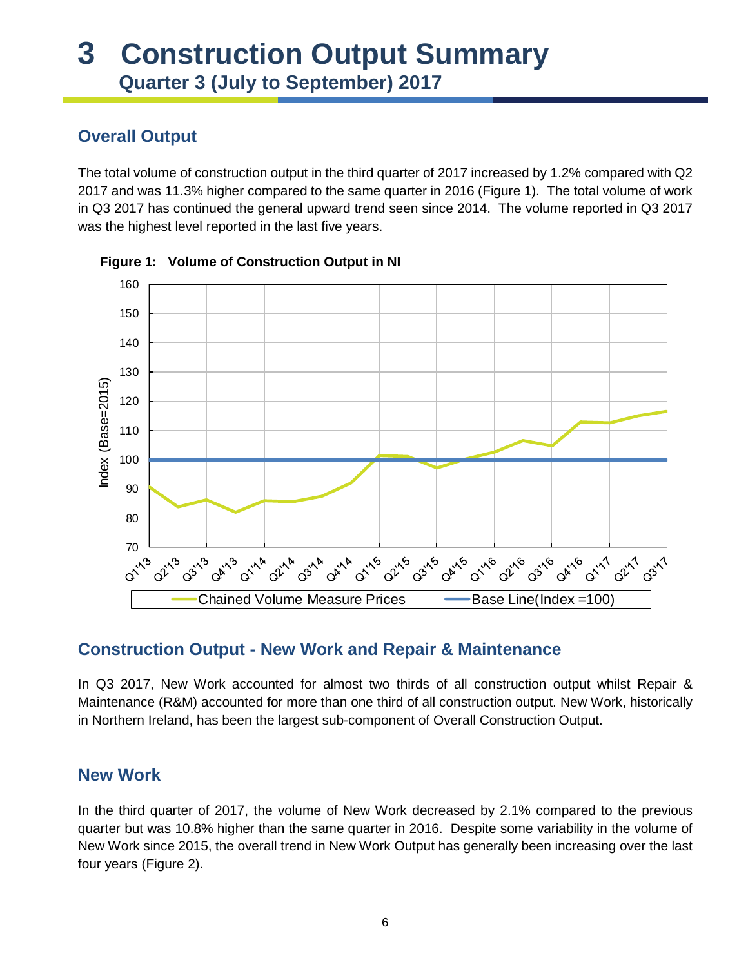# <span id="page-5-0"></span>**3 Construction Output Summary Quarter 3 (July to September) 2017**

## **Overall Output**

The total volume of construction output in the third quarter of 2017 increased by 1.2% compared with Q2 2017 and was 11.3% higher compared to the same quarter in 2016 (Figure 1). The total volume of work in Q3 2017 has continued the general upward trend seen since 2014. The volume reported in Q3 2017 was the highest level reported in the last five years.





## **Construction Output - New Work and Repair & Maintenance**

In Q3 2017, New Work accounted for almost two thirds of all construction output whilst Repair & Maintenance (R&M) accounted for more than one third of all construction output. New Work, historically in Northern Ireland, has been the largest sub-component of Overall Construction Output.

#### **New Work**

In the third quarter of 2017, the volume of New Work decreased by 2.1% compared to the previous quarter but was 10.8% higher than the same quarter in 2016. Despite some variability in the volume of New Work since 2015, the overall trend in New Work Output has generally been increasing over the last four years (Figure 2).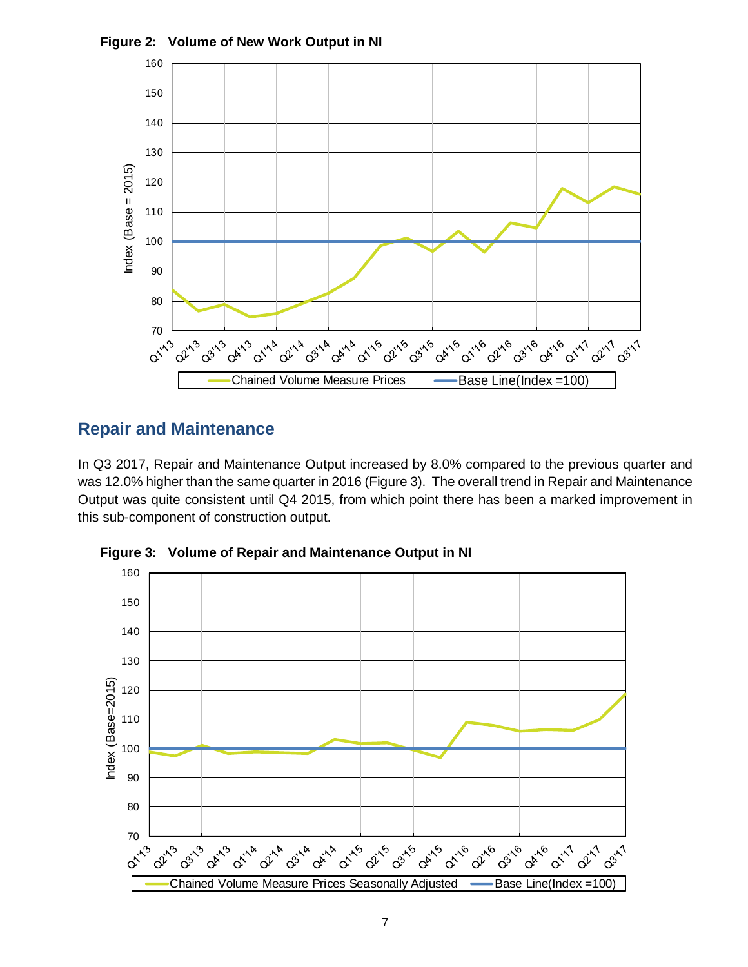

**Figure 2: Volume of New Work Output in NI**

#### **Repair and Maintenance**

In Q3 2017, Repair and Maintenance Output increased by 8.0% compared to the previous quarter and was 12.0% higher than the same quarter in 2016 (Figure 3). The overall trend in Repair and Maintenance Output was quite consistent until Q4 2015, from which point there has been a marked improvement in this sub-component of construction output.



**Figure 3: Volume of Repair and Maintenance Output in NI**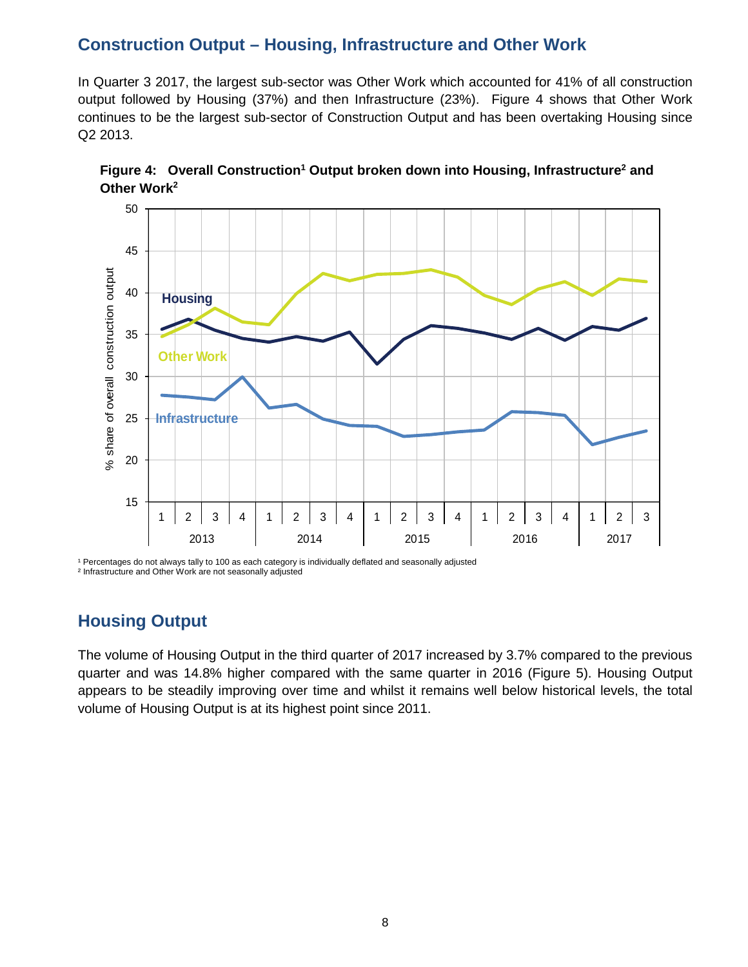#### **Construction Output – Housing, Infrastructure and Other Work**

In Quarter 3 2017, the largest sub-sector was Other Work which accounted for 41% of all construction output followed by Housing (37%) and then Infrastructure (23%). Figure 4 shows that Other Work continues to be the largest sub-sector of Construction Output and has been overtaking Housing since Q2 2013.





<sup>1</sup> Percentages do not always tally to 100 as each category is individually deflated and seasonally adjusted ² Infrastructure and Other Work are not seasonally adjusted

#### **Housing Output**

The volume of Housing Output in the third quarter of 2017 increased by 3.7% compared to the previous quarter and was 14.8% higher compared with the same quarter in 2016 (Figure 5). Housing Output appears to be steadily improving over time and whilst it remains well below historical levels, the total volume of Housing Output is at its highest point since 2011.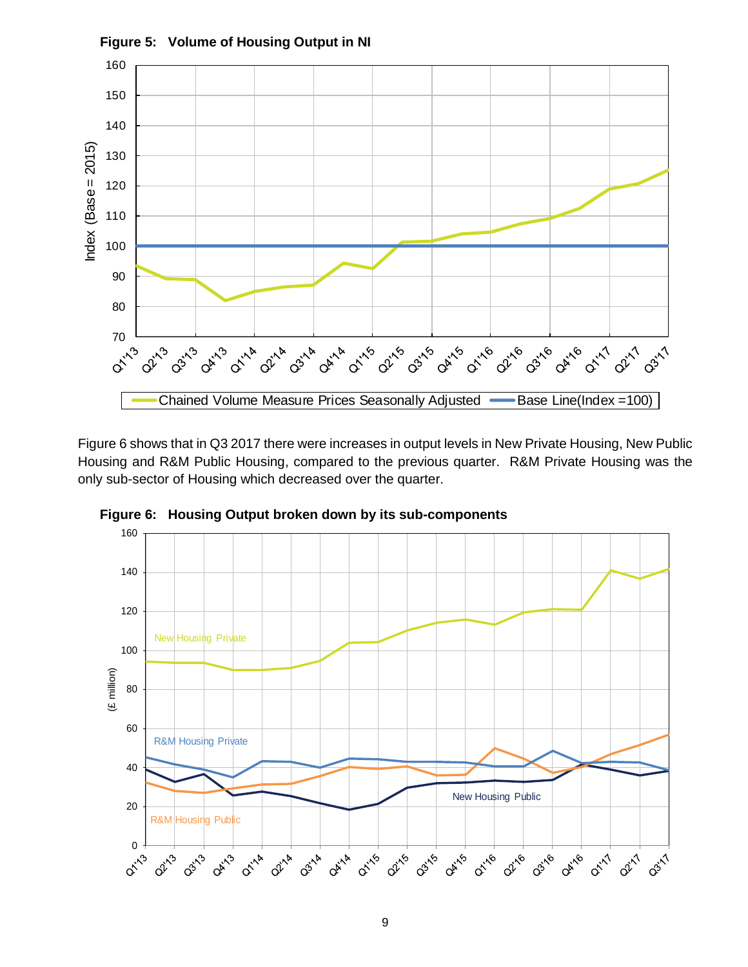

Figure 6 shows that in Q3 2017 there were increases in output levels in New Private Housing, New Public Housing and R&M Public Housing, compared to the previous quarter. R&M Private Housing was the only sub-sector of Housing which decreased over the quarter.



**Figure 6: Housing Output broken down by its sub-components**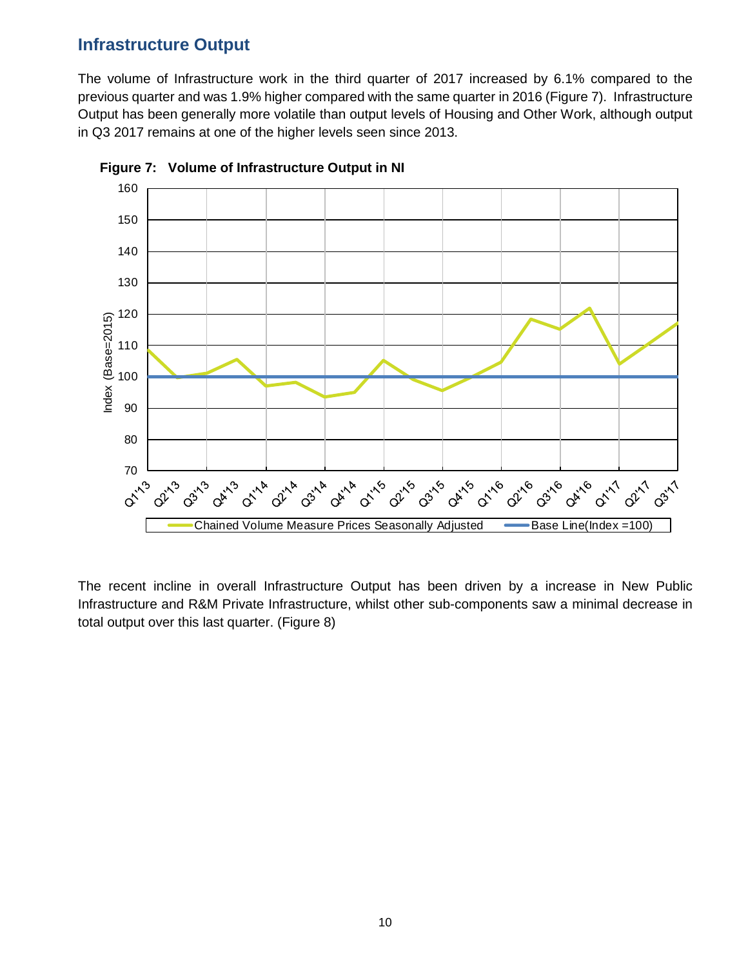#### **Infrastructure Output**

The volume of Infrastructure work in the third quarter of 2017 increased by 6.1% compared to the previous quarter and was 1.9% higher compared with the same quarter in 2016 (Figure 7). Infrastructure Output has been generally more volatile than output levels of Housing and Other Work, although output in Q3 2017 remains at one of the higher levels seen since 2013.





The recent incline in overall Infrastructure Output has been driven by a increase in New Public Infrastructure and R&M Private Infrastructure, whilst other sub-components saw a minimal decrease in total output over this last quarter. (Figure 8)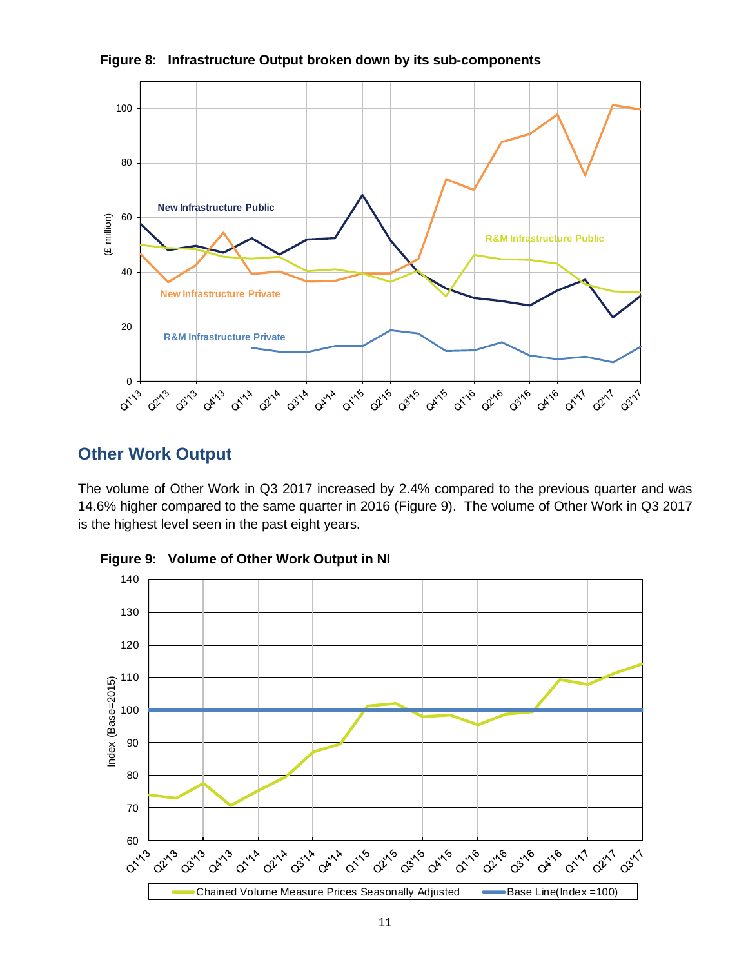

**Figure 8: Infrastructure Output broken down by its sub-components**

#### **Other Work Output**

The volume of Other Work in Q3 2017 increased by 2.4% compared to the previous quarter and was 14.6% higher compared to the same quarter in 2016 (Figure 9). The volume of Other Work in Q3 2017 is the highest level seen in the past eight years.



**Figure 9: Volume of Other Work Output in NI**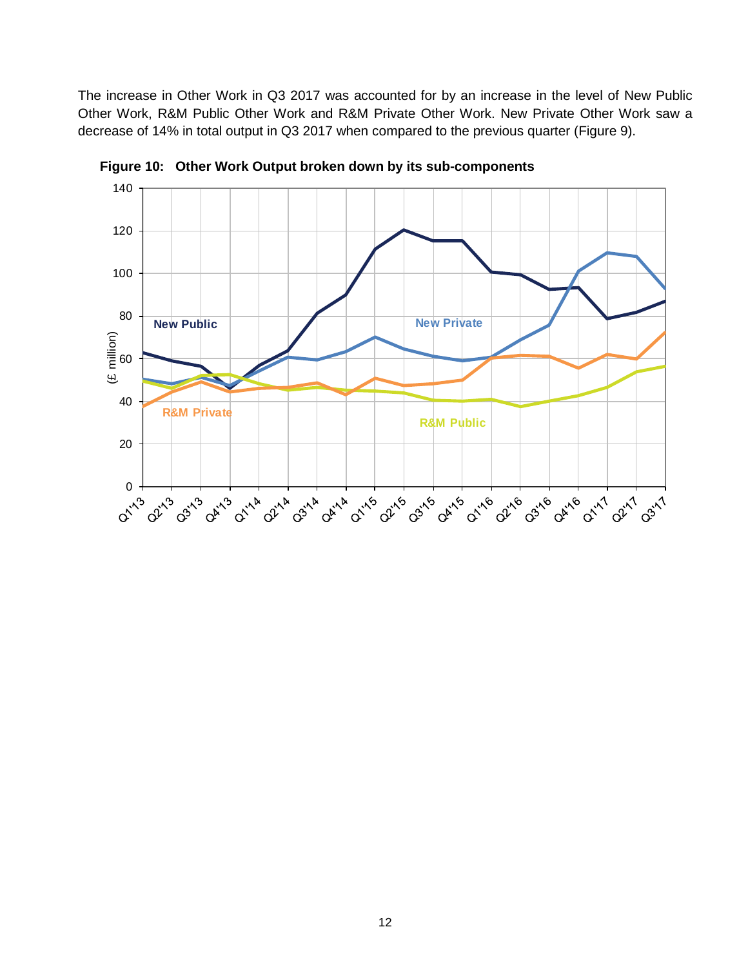The increase in Other Work in Q3 2017 was accounted for by an increase in the level of New Public Other Work, R&M Public Other Work and R&M Private Other Work. New Private Other Work saw a decrease of 14% in total output in Q3 2017 when compared to the previous quarter (Figure 9).



**Figure 10: Other Work Output broken down by its sub-components**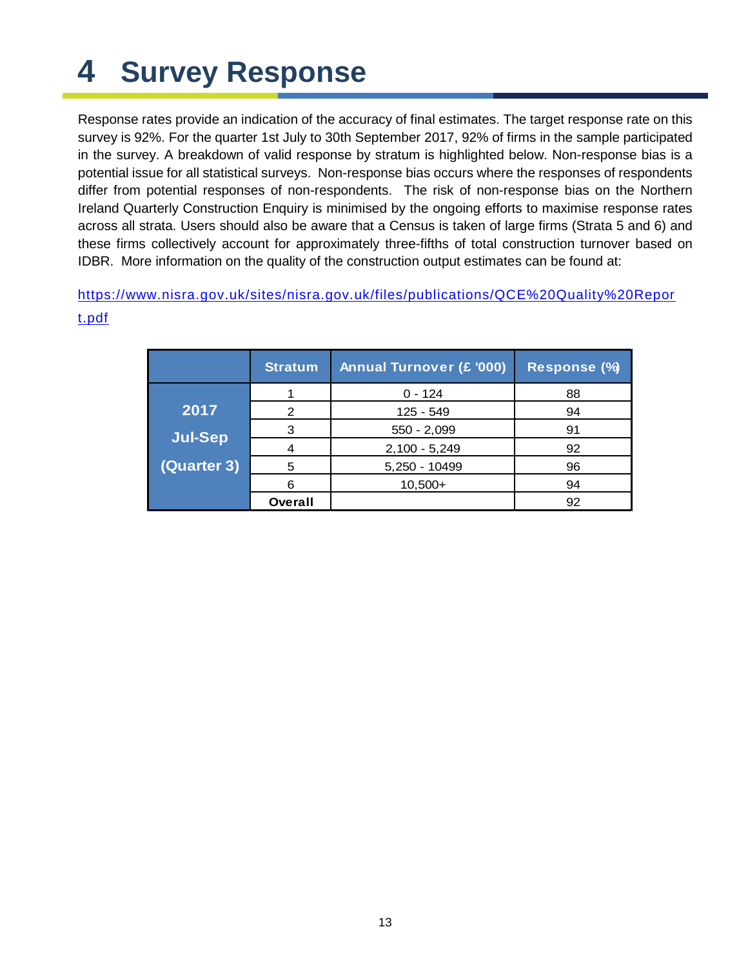# <span id="page-12-0"></span>**4 Survey Response**

Response rates provide an indication of the accuracy of final estimates. The target response rate on this survey is 92%. For the quarter 1st July to 30th September 2017, 92% of firms in the sample participated in the survey. A breakdown of valid response by stratum is highlighted below. Non-response bias is a potential issue for all statistical surveys. Non-response bias occurs where the responses of respondents differ from potential responses of non-respondents. The risk of non-response bias on the Northern Ireland Quarterly Construction Enquiry is minimised by the ongoing efforts to maximise response rates across all strata. Users should also be aware that a Census is taken of large firms (Strata 5 and 6) and these firms collectively account for approximately three-fifths of total construction turnover based on IDBR. More information on the quality of the construction output estimates can be found at:

[https://www.nisra.gov.uk/sites/nisra.gov.uk/files/publications/QCE%20Quality%20Repor](https://www.nisra.gov.uk/sites/nisra.gov.uk/files/publications/QCE%20Quality%20Report.pdf) [t.pdf](https://www.nisra.gov.uk/sites/nisra.gov.uk/files/publications/QCE%20Quality%20Report.pdf)

|                | <b>Stratum</b> | <b>Annual Turnover (£ '000)</b> | Response (%) |  |  |
|----------------|----------------|---------------------------------|--------------|--|--|
|                |                | $0 - 124$                       | 88           |  |  |
| 2017           | 2              | 125 - 549                       | 94           |  |  |
| <b>Jul-Sep</b> | З              | $550 - 2,099$                   | 91           |  |  |
|                |                | $2,100 - 5,249$                 | 92           |  |  |
| (Quarter 3)    | 5              | 5,250 - 10499                   | 96           |  |  |
|                | 6              | $10,500+$                       | 94           |  |  |
|                | Overall        |                                 | 92           |  |  |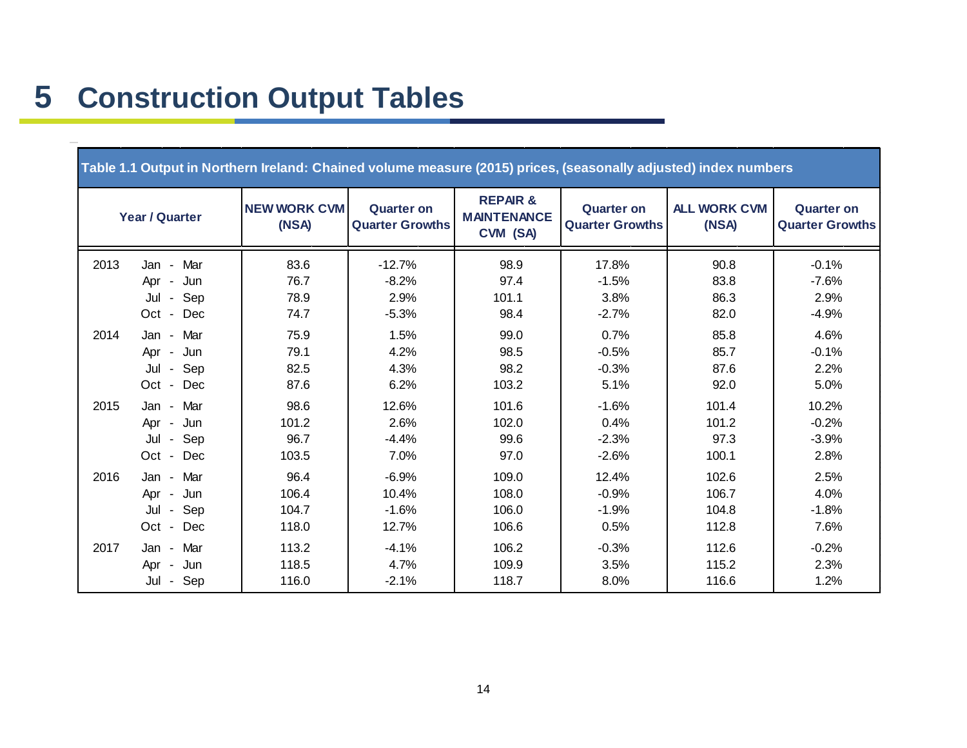<span id="page-13-0"></span>

| Table 1.1 Output in Northern Ireland: Chained volume measure (2015) prices, (seasonally adjusted) index numbers |                                                     |                                 |                                             |                                                     |                                             |                                  |                                             |  |  |  |  |
|-----------------------------------------------------------------------------------------------------------------|-----------------------------------------------------|---------------------------------|---------------------------------------------|-----------------------------------------------------|---------------------------------------------|----------------------------------|---------------------------------------------|--|--|--|--|
|                                                                                                                 | <b>Year / Quarter</b>                               | <b>NEW WORK CVM</b><br>(NSA)    | <b>Quarter on</b><br><b>Quarter Growths</b> | <b>REPAR&amp;</b><br><b>MAINTENANCE</b><br>CVM (SA) | <b>Quarter on</b><br><b>Quarter Growths</b> | <b>ALL WORK CVM</b><br>(NSA)     | <b>Quarter on</b><br><b>Quarter Growths</b> |  |  |  |  |
| 2013                                                                                                            | Jan - Mar<br>Jun<br>Apr -<br>Jul - Sep              | 83.6<br>76.7<br>78.9            | $-12.7%$<br>$-8.2%$<br>2.9%                 | 98.9<br>97.4<br>101.1                               | 17.8%<br>$-1.5%$<br>3.8%                    | 90.8<br>83.8<br>86.3             | $-0.1%$<br>$-7.6%$<br>2.9%                  |  |  |  |  |
|                                                                                                                 | Oct - Dec                                           | 74.7                            | $-5.3%$                                     | 98.4                                                | $-2.7%$                                     | 82.0                             | $-4.9%$                                     |  |  |  |  |
| 2014                                                                                                            | Jan - Mar<br>Jun<br>Apr -<br>Jul - Sep<br>Oct - Dec | 75.9<br>79.1<br>82.5<br>87.6    | 1.5%<br>4.2%<br>4.3%<br>6.2%                | 99.0<br>98.5<br>98.2<br>103.2                       | 0.7%<br>$-0.5%$<br>$-0.3%$<br>5.1%          | 85.8<br>85.7<br>87.6<br>92.0     | 4.6%<br>$-0.1%$<br>2.2%<br>5.0%             |  |  |  |  |
| 2015                                                                                                            | Jan - Mar<br>Apr - Jun<br>Jul - Sep<br>Oct - Dec    | 98.6<br>101.2<br>96.7<br>103.5  | 12.6%<br>2.6%<br>$-4.4%$<br>7.0%            | 101.6<br>102.0<br>99.6<br>97.0                      | $-1.6%$<br>0.4%<br>$-2.3%$<br>$-2.6%$       | 101.4<br>101.2<br>97.3<br>100.1  | 10.2%<br>$-0.2%$<br>$-3.9%$<br>2.8%         |  |  |  |  |
| 2016                                                                                                            | Jan - Mar<br>Jun<br>Apr -<br>Jul - Sep<br>Oct - Dec | 96.4<br>106.4<br>104.7<br>118.0 | $-6.9%$<br>10.4%<br>$-1.6%$<br>12.7%        | 109.0<br>108.0<br>106.0<br>106.6                    | 12.4%<br>$-0.9%$<br>$-1.9%$<br>0.5%         | 102.6<br>106.7<br>104.8<br>112.8 | 2.5%<br>4.0%<br>$-1.8%$<br>7.6%             |  |  |  |  |
| 2017                                                                                                            | Jan - Mar<br>Jun<br>Apr -<br>Jul - Sep              | 113.2<br>118.5<br>116.0         | $-4.1%$<br>4.7%<br>$-2.1%$                  | 106.2<br>109.9<br>118.7                             | $-0.3%$<br>3.5%<br>8.0%                     | 112.6<br>115.2<br>116.6          | $-0.2%$<br>2.3%<br>1.2%                     |  |  |  |  |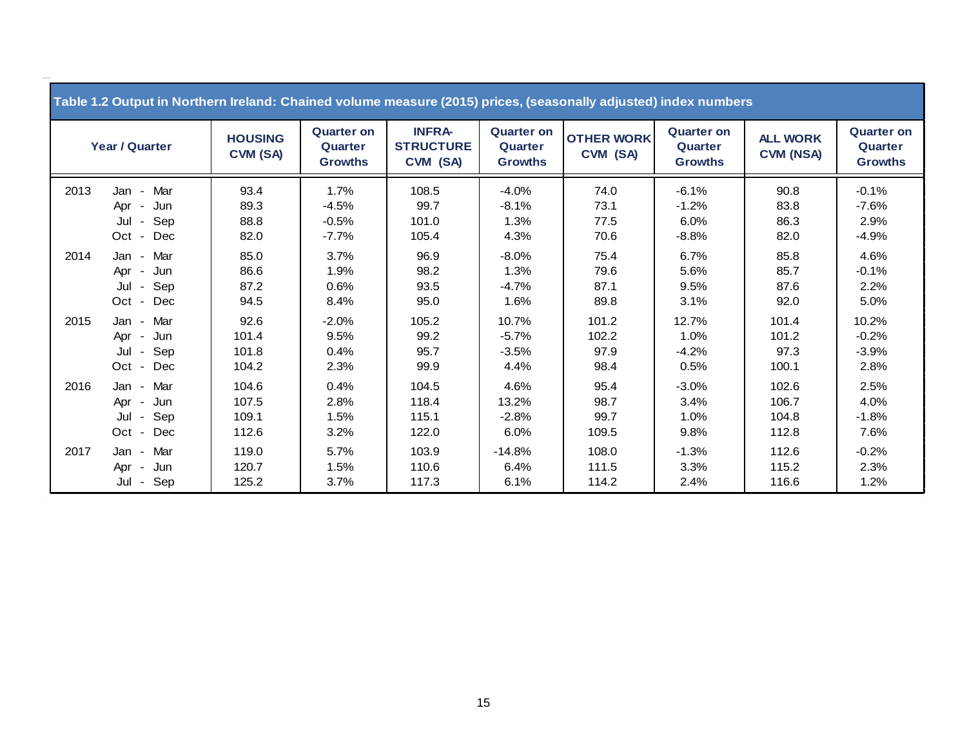| Table 1.2 Output in Northern Ireland: Chained volume measure (2015) prices, (seasonally adjusted) index numbers |                                                                                                              |                                  |                                                |                                               |                                                |                                |                                                |                                     |                                                |  |  |
|-----------------------------------------------------------------------------------------------------------------|--------------------------------------------------------------------------------------------------------------|----------------------------------|------------------------------------------------|-----------------------------------------------|------------------------------------------------|--------------------------------|------------------------------------------------|-------------------------------------|------------------------------------------------|--|--|
| Year / Quarter                                                                                                  |                                                                                                              | <b>HOUSING</b><br>CVM (SA)       | <b>Quarter on</b><br>Quarter<br><b>Growths</b> | <b>INFRA-</b><br><b>STRUCTURE</b><br>CVM (SA) | <b>Quarter on</b><br>Quarter<br><b>Growths</b> | <b>OTHER WORK</b><br>CVM (SA)  | <b>Quarter on</b><br>Quarter<br><b>Growths</b> | <b>ALL WORK</b><br><b>CVM (NSA)</b> | <b>Quarter on</b><br>Quarter<br><b>Growths</b> |  |  |
| 2013                                                                                                            | Mar<br>Jan<br>$\blacksquare$<br>Jun<br>Apr<br>$\blacksquare$<br>Sep<br>Jul<br>$\sim$<br>Dec<br>Oct -         | 93.4<br>89.3<br>88.8<br>82.0     | 1.7%<br>$-4.5%$<br>$-0.5%$<br>$-7.7\%$         | 108.5<br>99.7<br>101.0<br>105.4               | $-4.0%$<br>$-8.1%$<br>1.3%<br>4.3%             | 74.0<br>73.1<br>77.5<br>70.6   | $-6.1%$<br>$-1.2%$<br>6.0%<br>$-8.8%$          | 90.8<br>83.8<br>86.3<br>82.0        | $-0.1%$<br>$-7.6%$<br>2.9%<br>$-4.9%$          |  |  |
| 2014                                                                                                            | Mar<br>Jan -<br>Jun<br>Apr<br>$\blacksquare$<br>Sep<br>Jul<br>$\sim$<br>Dec<br>Oct<br>$\sim$                 | 85.0<br>86.6<br>87.2<br>94.5     | 3.7%<br>1.9%<br>0.6%<br>8.4%                   | 96.9<br>98.2<br>93.5<br>95.0                  | $-8.0%$<br>1.3%<br>$-4.7%$<br>1.6%             | 75.4<br>79.6<br>87.1<br>89.8   | 6.7%<br>5.6%<br>9.5%<br>3.1%                   | 85.8<br>85.7<br>87.6<br>92.0        | 4.6%<br>$-0.1%$<br>2.2%<br>5.0%                |  |  |
| 2015                                                                                                            | Mar<br>Jan -<br>Jun<br>Apr<br>$\sim$<br>Sep<br>Jul<br>$\sim$<br>Dec<br>Oct -                                 | 92.6<br>101.4<br>101.8<br>104.2  | $-2.0%$<br>9.5%<br>0.4%<br>2.3%                | 105.2<br>99.2<br>95.7<br>99.9                 | 10.7%<br>$-5.7%$<br>$-3.5%$<br>4.4%            | 101.2<br>102.2<br>97.9<br>98.4 | 12.7%<br>1.0%<br>$-4.2%$<br>0.5%               | 101.4<br>101.2<br>97.3<br>100.1     | 10.2%<br>$-0.2%$<br>$-3.9%$<br>2.8%            |  |  |
| 2016                                                                                                            | Mar<br>Jan<br>$\blacksquare$<br>Jun<br>Apr<br>$\blacksquare$<br>Sep<br>Jul<br>$\sim$<br>Dec<br>Oct<br>$\sim$ | 104.6<br>107.5<br>109.1<br>112.6 | 0.4%<br>2.8%<br>1.5%<br>3.2%                   | 104.5<br>118.4<br>115.1<br>122.0              | 4.6%<br>13.2%<br>$-2.8%$<br>6.0%               | 95.4<br>98.7<br>99.7<br>109.5  | $-3.0%$<br>3.4%<br>1.0%<br>9.8%                | 102.6<br>106.7<br>104.8<br>112.8    | 2.5%<br>4.0%<br>$-1.8%$<br>7.6%                |  |  |
| 2017                                                                                                            | Mar<br>Jan<br>$\blacksquare$<br>Jun<br>Apr<br>$\blacksquare$<br>Sep<br>Jul<br>$\blacksquare$                 | 119.0<br>120.7<br>125.2          | 5.7%<br>1.5%<br>3.7%                           | 103.9<br>110.6<br>117.3                       | $-14.8%$<br>6.4%<br>6.1%                       | 108.0<br>111.5<br>114.2        | $-1.3%$<br>3.3%<br>2.4%                        | 112.6<br>115.2<br>116.6             | $-0.2%$<br>2.3%<br>1.2%                        |  |  |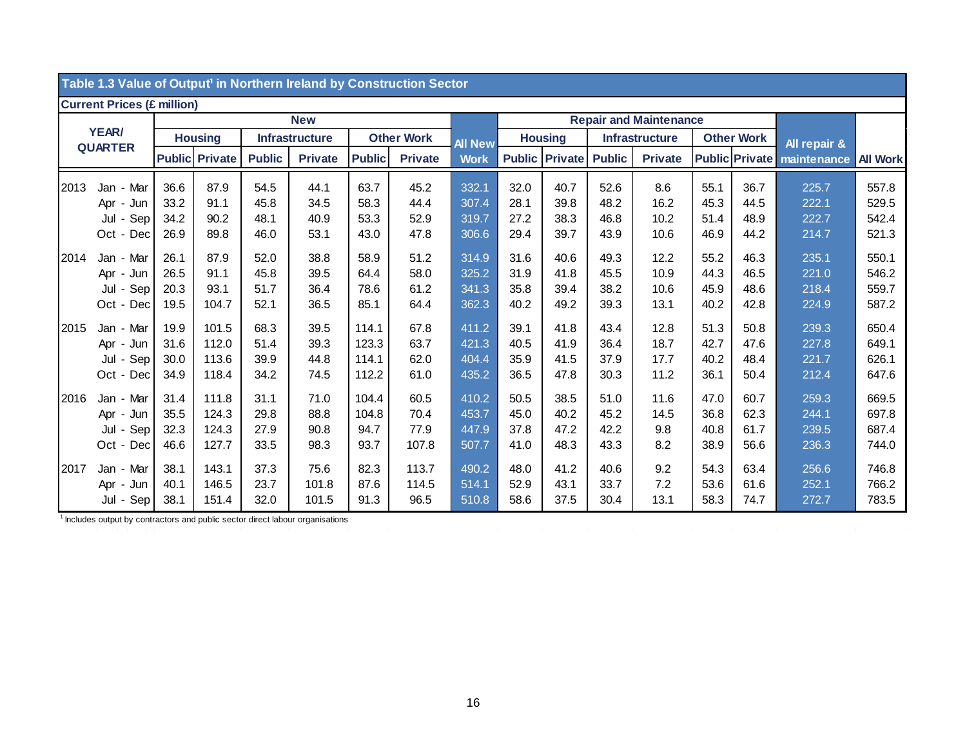|      | Table 1.3 value of Output' in Northern Ireland by Construction Sector |      |                       |                       |                                 |                   |                |                |                               |                       |                                 |                       |                   |                       |              |                 |
|------|-----------------------------------------------------------------------|------|-----------------------|-----------------------|---------------------------------|-------------------|----------------|----------------|-------------------------------|-----------------------|---------------------------------|-----------------------|-------------------|-----------------------|--------------|-----------------|
|      | <b>Current Prices (£ million)</b>                                     |      |                       |                       |                                 |                   |                |                |                               |                       |                                 |                       |                   |                       |              |                 |
|      |                                                                       |      |                       |                       | <b>New</b>                      |                   |                |                | <b>Repair and Maintenance</b> |                       |                                 |                       |                   |                       |              |                 |
|      | <b>YEAR/</b>                                                          |      | <b>Housing</b>        | <b>Infrastructure</b> |                                 | <b>Other Work</b> |                | <b>All New</b> | <b>Housing</b>                |                       |                                 | <b>Infrastructure</b> | <b>Other Work</b> |                       | All repair & |                 |
|      | <b>QUARTER</b>                                                        |      | <b>Public Private</b> |                       | <b>Public</b><br><b>Private</b> |                   | <b>Private</b> | <b>Work</b>    |                               | <b>Public Private</b> | <b>Public</b><br><b>Private</b> |                       |                   | <b>Public Private</b> | maintenance  | <b>All Work</b> |
| 2013 | Jan - Mar                                                             | 36.6 | 87.9                  | 54.5                  | 44.1                            | 63.7              | 45.2           | 332.1          | 32.0                          | 40.7                  | 52.6                            | 8.6                   | 55.1              | 36.7                  | 225.7        | 557.8           |
|      | Apr - Jun                                                             | 33.2 | 91.1                  | 45.8                  | 34.5                            | 58.3              | 44.4           | 307.4          | 28.1                          | 39.8                  | 48.2                            | 16.2                  | 45.3              | 44.5                  | 222.1        | 529.5           |
|      | Sep<br>Jul -                                                          | 34.2 | 90.2                  | 48.1                  | 40.9                            | 53.3              | 52.9           | 319.7          | 27.2                          | 38.3                  | 46.8                            | 10.2                  | 51.4              | 48.9                  | 222.7        | 542.4           |
|      | Oct - Dec                                                             | 26.9 | 89.8                  | 46.0                  | 53.1                            | 43.0              | 47.8           | 306.6          | 29.4                          | 39.7                  | 43.9                            | 10.6                  | 46.9              | 44.2                  | 214.7        | 521.3           |
| 2014 | Jan - Mar                                                             | 26.1 | 87.9                  | 52.0                  | 38.8                            | 58.9              | 51.2           | 314.9          | 31.6                          | 40.6                  | 49.3                            | 12.2                  | 55.2              | 46.3                  | 235.1        | 550.1           |
|      | Apr - Jun                                                             | 26.5 | 91.1                  | 45.8                  | 39.5                            | 64.4              | 58.0           | 325.2          | 31.9                          | 41.8                  | 45.5                            | 10.9                  | 44.3              | 46.5                  | 221.0        | 546.2           |
|      | Jul - Sep                                                             | 20.3 | 93.1                  | 51.7                  | 36.4                            | 78.6              | 61.2           | 341.3          | 35.8                          | 39.4                  | 38.2                            | 10.6                  | 45.9              | 48.6                  | 218.4        | 559.7           |
|      | Oct - Dec                                                             | 19.5 | 104.7                 | 52.1                  | 36.5                            | 85.1              | 64.4           | 362.3          | 40.2                          | 49.2                  | 39.3                            | 13.1                  | 40.2              | 42.8                  | 224.9        | 587.2           |
| 2015 | Jan - Mar                                                             | 19.9 | 101.5                 | 68.3                  | 39.5                            | 114.1             | 67.8           | 411.2          | 39.1                          | 41.8                  | 43.4                            | 12.8                  | 51.3              | 50.8                  | 239.3        | 650.4           |
|      | Apr - Jun                                                             | 31.6 | 112.0                 | 51.4                  | 39.3                            | 123.3             | 63.7           | 421.3          | 40.5                          | 41.9                  | 36.4                            | 18.7                  | 42.7              | 47.6                  | 227.8        | 649.1           |
|      | Jul - Sep                                                             | 30.0 | 113.6                 | 39.9                  | 44.8                            | 114.1             | 62.0           | 404.4          | 35.9                          | 41.5                  | 37.9                            | 17.7                  | 40.2              | 48.4                  | 221.7        | 626.1           |
|      | Oct - Dec                                                             | 34.9 | 118.4                 | 34.2                  | 74.5                            | 112.2             | 61.0           | 435.2          | 36.5                          | 47.8                  | 30.3                            | 11.2                  | 36.1              | 50.4                  | 212.4        | 647.6           |
| 2016 | Jan - Mar                                                             | 31.4 | 111.8                 | 31.1                  | 71.0                            | 104.4             | 60.5           | 410.2          | 50.5                          | 38.5                  | 51.0                            | 11.6                  | 47.0              | 60.7                  | 259.3        | 669.5           |
|      | Apr - Jun                                                             | 35.5 | 124.3                 | 29.8                  | 88.8                            | 104.8             | 70.4           | 453.7          | 45.0                          | 40.2                  | 45.2                            | 14.5                  | 36.8              | 62.3                  | 244.1        | 697.8           |
|      | Jul - Sep                                                             | 32.3 | 124.3                 | 27.9                  | 90.8                            | 94.7              | 77.9           | 447.9          | 37.8                          | 47.2                  | 42.2                            | 9.8                   | 40.8              | 61.7                  | 239.5        | 687.4           |
|      | Oct - Dec                                                             | 46.6 | 127.7                 | 33.5                  | 98.3                            | 93.7              | 107.8          | 507.7          | 41.0                          | 48.3                  | 43.3                            | 8.2                   | 38.9              | 56.6                  | 236.3        | 744.0           |
| 2017 | Jan - Mar                                                             | 38.1 | 143.1                 | 37.3                  | 75.6                            | 82.3              | 113.7          | 490.2          | 48.0                          | 41.2                  | 40.6                            | 9.2                   | 54.3              | 63.4                  | 256.6        | 746.8           |
|      | Apr - Jun                                                             | 40.1 | 146.5                 | 23.7                  | 101.8                           | 87.6              | 114.5          | 514.1          | 52.9                          | 43.1                  | 33.7                            | 7.2                   | 53.6              | 61.6                  | 252.1        | 766.2           |
|      | Jul - Sep                                                             | 38.1 | 151.4                 | 32.0                  | 101.5                           | 91.3              | 96.5           | 510.8          | 58.6                          | 37.5                  | 30.4                            | 13.1                  | 58.3              | 74.7                  | 272.7        | 783.5           |

#### **Table 1.3 Value of Output¹ in Northern Ireland by Construction Sector**

<sup>1</sup> Includes output by contractors and public sector direct labour organisations

 $\sim 10^{11}$  km s  $^{-1}$ 

 $\mathcal{L}(\mathcal{L}(\mathcal{L}(\mathcal{L}(\mathcal{L}(\mathcal{L}(\mathcal{L}(\mathcal{L}(\mathcal{L}(\mathcal{L}(\mathcal{L}(\mathcal{L}(\mathcal{L}(\mathcal{L}(\mathcal{L}(\mathcal{L}(\mathcal{L}(\mathcal{L}(\mathcal{L}(\mathcal{L}(\mathcal{L}(\mathcal{L}(\mathcal{L}(\mathcal{L}(\mathcal{L}(\mathcal{L}(\mathcal{L}(\mathcal{L}(\mathcal{L}(\mathcal{L}(\mathcal{L}(\mathcal{L}(\mathcal{L}(\mathcal{L}(\mathcal{L}(\mathcal{L}(\mathcal{$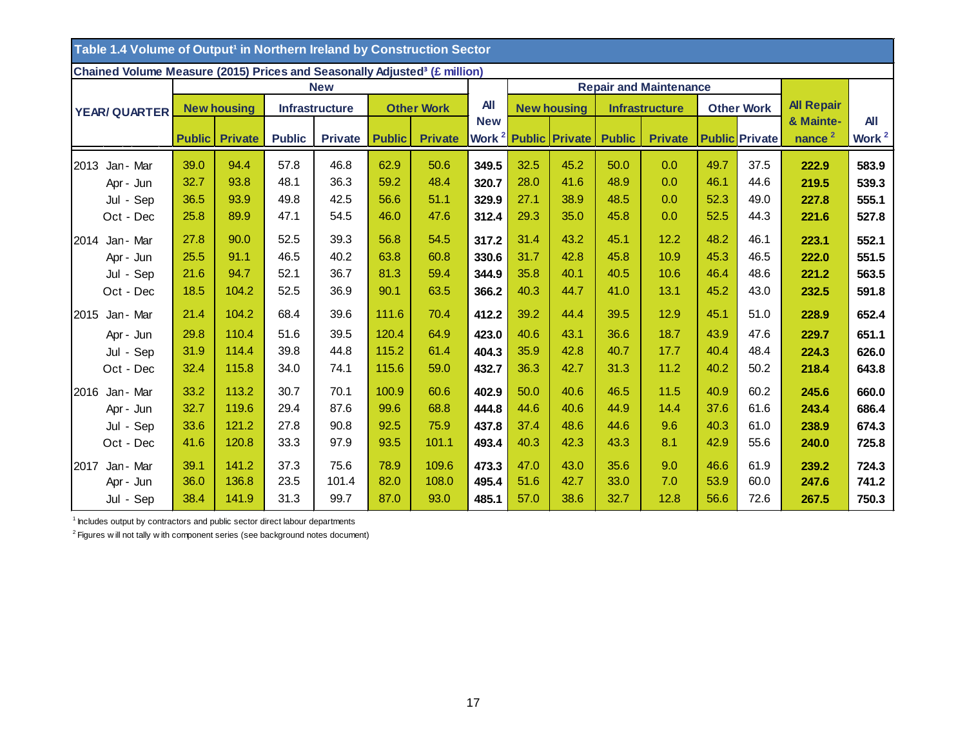| Table 1.4 Volume of Output <sup>1</sup> in Northern Ireland by Construction Sector    |               |                    |                       |                |                               |                |            |      |                                  |               |                       |                   |                       |                    |                   |
|---------------------------------------------------------------------------------------|---------------|--------------------|-----------------------|----------------|-------------------------------|----------------|------------|------|----------------------------------|---------------|-----------------------|-------------------|-----------------------|--------------------|-------------------|
| Chained Volume Measure (2015) Prices and Seasonally Adjusted <sup>3</sup> (£ million) |               |                    |                       |                |                               |                |            |      |                                  |               |                       |                   |                       |                    |                   |
|                                                                                       |               |                    |                       |                | <b>Repair and Maintenance</b> |                |            |      |                                  |               |                       |                   |                       |                    |                   |
| <b>YEAR/ QUARTER</b>                                                                  |               | <b>New housing</b> | <b>Infrastructure</b> |                | <b>Other Work</b>             |                | <b>All</b> |      | <b>New housing</b>               |               | <b>Infrastructure</b> | <b>Other Work</b> |                       | <b>All Repair</b>  |                   |
|                                                                                       |               |                    |                       |                |                               |                | <b>New</b> |      |                                  |               |                       |                   |                       | & Mainte-          | <b>All</b>        |
|                                                                                       | <b>Public</b> | <b>Private</b>     | <b>Public</b>         | <b>Private</b> | <b>Public</b>                 | <b>Private</b> |            |      | Work <sup>2</sup> Public Private | <b>Public</b> | <b>Private</b>        |                   | <b>Public Private</b> | nance <sup>2</sup> | Work <sup>2</sup> |
| 2013<br>Jan - Mar                                                                     | 39.0          | 94.4               | 57.8                  | 46.8           | 62.9                          | 50.6           | 349.5      | 32.5 | 45.2                             | 50.0          | 0.0                   | 49.7              | 37.5                  | 222.9              | 583.9             |
| Apr - Jun                                                                             | 32.7          | 93.8               | 48.1                  | 36.3           | 59.2                          | 48.4           | 320.7      | 28.0 | 41.6                             | 48.9          | 0.0                   | 46.1              | 44.6                  | 219.5              | 539.3             |
| Jul - Sep                                                                             | 36.5          | 93.9               | 49.8                  | 42.5           | 56.6                          | 51.1           | 329.9      | 27.1 | 38.9                             | 48.5          | 0.0                   | 52.3              | 49.0                  | 227.8              | 555.1             |
| Oct - Dec                                                                             | 25.8          | 89.9               | 47.1                  | 54.5           | 46.0                          | 47.6           | 312.4      | 29.3 | 35.0                             | 45.8          | 0.0                   | 52.5              | 44.3                  | 221.6              | 527.8             |
| Jan - Mar<br>2014                                                                     | 27.8          | 90.0               | 52.5                  | 39.3           | 56.8                          | 54.5           | 317.2      | 31.4 | 43.2                             | 45.1          | 12.2                  | 48.2              | 46.1                  | 223.1              | 552.1             |
| Apr - Jun                                                                             | 25.5          | 91.1               | 46.5                  | 40.2           | 63.8                          | 60.8           | 330.6      | 31.7 | 42.8                             | 45.8          | 10.9                  | 45.3              | 46.5                  | 222.0              | 551.5             |
| Jul - Sep                                                                             | 21.6          | 94.7               | 52.1                  | 36.7           | 81.3                          | 59.4           | 344.9      | 35.8 | 40.1                             | 40.5          | 10.6                  | 46.4              | 48.6                  | 221.2              | 563.5             |
| Oct - Dec                                                                             | 18.5          | 104.2              | 52.5                  | 36.9           | 90.1                          | 63.5           | 366.2      | 40.3 | 44.7                             | 41.0          | 13.1                  | 45.2              | 43.0                  | 232.5              | 591.8             |
| 2015 Jan - Mar                                                                        | 21.4          | 104.2              | 68.4                  | 39.6           | 111.6                         | 70.4           | 412.2      | 39.2 | 44.4                             | 39.5          | 12.9                  | 45.1              | 51.0                  | 228.9              | 652.4             |
| Apr - Jun                                                                             | 29.8          | 110.4              | 51.6                  | 39.5           | 120.4                         | 64.9           | 423.0      | 40.6 | 43.1                             | 36.6          | 18.7                  | 43.9              | 47.6                  | 229.7              | 651.1             |
| Jul - Sep                                                                             | 31.9          | 114.4              | 39.8                  | 44.8           | 115.2                         | 61.4           | 404.3      | 35.9 | 42.8                             | 40.7          | 17.7                  | 40.4              | 48.4                  | 224.3              | 626.0             |
| Oct - Dec                                                                             | 32.4          | 115.8              | 34.0                  | 74.1           | 115.6                         | 59.0           | 432.7      | 36.3 | 42.7                             | 31.3          | 11.2                  | 40.2              | 50.2                  | 218.4              | 643.8             |
| Jan - Mar<br>2016                                                                     | 33.2          | 113.2              | 30.7                  | 70.1           | 100.9                         | 60.6           | 402.9      | 50.0 | 40.6                             | 46.5          | 11.5                  | 40.9              | 60.2                  | 245.6              | 660.0             |
| Apr - Jun                                                                             | 32.7          | 119.6              | 29.4                  | 87.6           | 99.6                          | 68.8           | 444.8      | 44.6 | 40.6                             | 44.9          | 14.4                  | 37.6              | 61.6                  | 243.4              | 686.4             |
| Jul - Sep                                                                             | 33.6          | 121.2              | 27.8                  | 90.8           | 92.5                          | 75.9           | 437.8      | 37.4 | 48.6                             | 44.6          | 9.6                   | 40.3              | 61.0                  | 238.9              | 674.3             |
| Oct - Dec                                                                             | 41.6          | 120.8              | 33.3                  | 97.9           | 93.5                          | 101.1          | 493.4      | 40.3 | 42.3                             | 43.3          | 8.1                   | 42.9              | 55.6                  | 240.0              | 725.8             |
| Jan - Mar<br>2017                                                                     | 39.1          | 141.2              | 37.3                  | 75.6           | 78.9                          | 109.6          | 473.3      | 47.0 | 43.0                             | 35.6          | 9.0                   | 46.6              | 61.9                  | 239.2              | 724.3             |
| Apr - Jun                                                                             | 36.0          | 136.8              | 23.5                  | 101.4          | 82.0                          | 108.0          | 495.4      | 51.6 | 42.7                             | 33.0          | 7.0                   | 53.9              | 60.0                  | 247.6              | 741.2             |
| Jul - Sep                                                                             | 38.4          | 141.9              | 31.3                  | 99.7           | 87.0                          | 93.0           | 485.1      | 57.0 | 38.6                             | 32.7          | 12.8                  | 56.6              | 72.6                  | 267.5              | 750.3             |

<sup>1</sup> Includes output by contractors and public sector direct labour departments

 $2$  Figures w ill not tally w ith component series (see background notes document)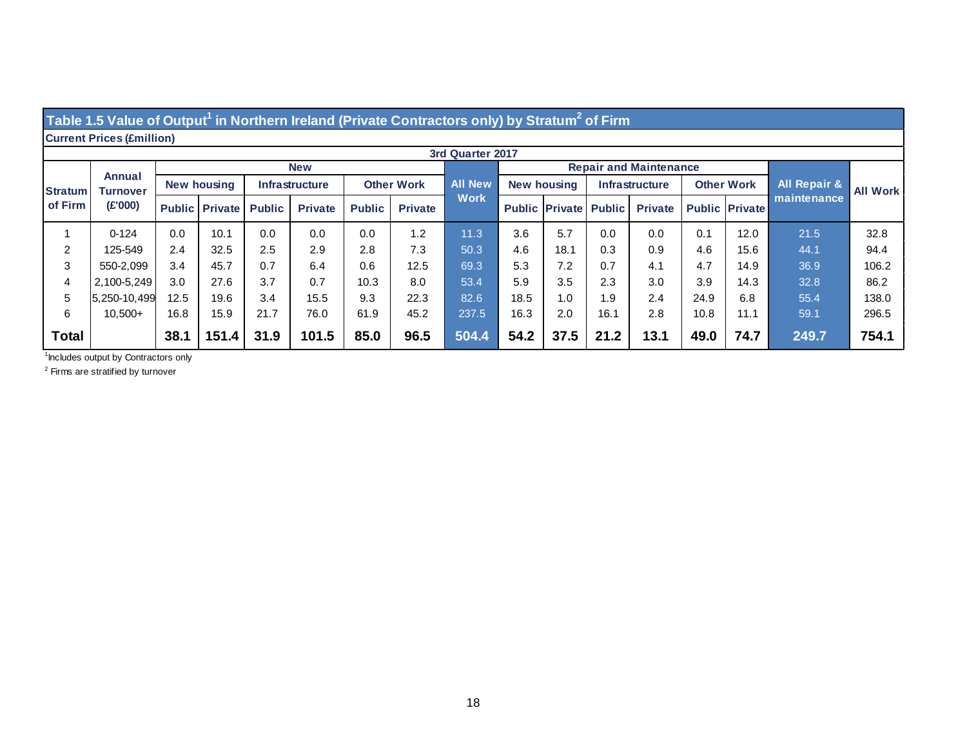#### Table 1.5 Value of Output<sup>1</sup> in Northern Ireland (Private Contractors only) by Stratum<sup>2</sup> of Firm

#### **Current Prices (£million)**

|                | 3rd Quarter 2017          |                    |                       |                       |                |                   |                |                |                    |                               |                       |                |                   |                       |                         |                 |
|----------------|---------------------------|--------------------|-----------------------|-----------------------|----------------|-------------------|----------------|----------------|--------------------|-------------------------------|-----------------------|----------------|-------------------|-----------------------|-------------------------|-----------------|
|                | Annual<br><b>Turnover</b> | <b>New</b>         |                       |                       |                |                   |                |                |                    | <b>Repair and Maintenance</b> |                       |                |                   |                       |                         |                 |
| <b>Stratum</b> |                           | <b>New housing</b> |                       | <b>Infrastructure</b> |                | <b>Other Work</b> |                | <b>All New</b> | <b>New housing</b> |                               | <b>Infrastructure</b> |                | <b>Other Work</b> |                       | <b>All Repair &amp;</b> | <b>All Work</b> |
| of Firm        | (E'000)                   |                    | <b>Public Private</b> | <b>Public</b>         | <b>Private</b> | <b>Public</b>     | <b>Private</b> | <b>Work</b>    |                    | <b>Public Private Public</b>  |                       | <b>Private</b> |                   | <b>Public Private</b> | maintenance             |                 |
|                | $0 - 124$                 | 0.0                | 10.1                  | 0.0                   | 0.0            | 0.0               | 1.2            | 11.3           | 3.6                | 5.7                           | 0.0                   | 0.0            | 0.1               | 12.0                  | 21.5                    | 32.8            |
| 2              | 125-549                   | 2.4                | 32.5                  | 2.5                   | 2.9            | 2.8               | 7.3            | 50.3           | 4.6                | 18.1                          | 0.3                   | 0.9            | 4.6               | 15.6                  | 44.1                    | 94.4            |
| 3              | 550-2.099                 | 3.4                | 45.7                  | 0.7                   | 6.4            | 0.6               | 12.5           | 69.3           | 5.3                | 7.2                           | 0.7                   | 4.1            | 4.7               | 14.9                  | 36.9                    | 106.2           |
| 4              | 2.100-5.249               | 3.0                | 27.6                  | 3.7                   | 0.7            | 10.3              | 8.0            | 53.4           | 5.9                | 3.5                           | 2.3                   | 3.0            | 3.9               | 14.3                  | 32.8                    | 86.2            |
| 5              | 5.250-10.499              | 12.5               | 19.6                  | 3.4                   | 15.5           | 9.3               | 22.3           | 82.6           | 18.5               | 1.0                           | 1.9                   | 2.4            | 24.9              | 6.8                   | 55.4                    | 138.0           |
| 6              | $10.500+$                 | 16.8               | 15.9                  | 21.7                  | 76.0           | 61.9              | 45.2           | 237.5          | 16.3               | 2.0                           | 16.1                  | 2.8            | 10.8              | 11.1                  | 59.1                    | 296.5           |
| <b>Total</b>   |                           | 38.1               | 151.4                 | 31.9                  | 101.5          | 85.0              | 96.5           | 504.4          | 54.2               | 37.5                          | 21.2                  | 13.1           | 49.0              | 74.7                  | 249.7                   | 754.1           |

 $\sim 10^{-1}$ 

 $\sim$ 

<sup>1</sup> Includes output by Contractors only

 $\mathcal{L}^{\mathcal{L}}$ 

<sup>2</sup> Firms are stratified by turnover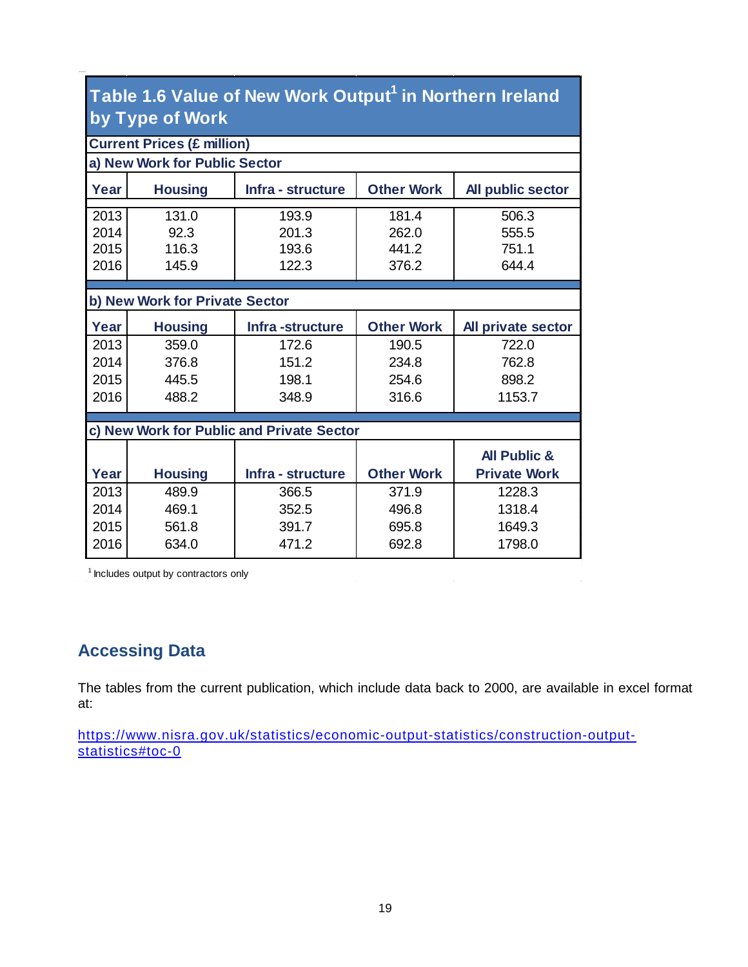| Table 1.6 Value of New Work Output <sup>1</sup> in Northern Ireland |  |
|---------------------------------------------------------------------|--|
| by Type of Work                                                     |  |

|                                | <b>Current Prices (£ million)</b>                                             |                                           |                   |                         |  |  |  |  |  |  |  |  |
|--------------------------------|-------------------------------------------------------------------------------|-------------------------------------------|-------------------|-------------------------|--|--|--|--|--|--|--|--|
| a) New Work for Public Sector  |                                                                               |                                           |                   |                         |  |  |  |  |  |  |  |  |
| Year                           | Infra - structure<br><b>Other Work</b><br><b>Housing</b><br>All public sector |                                           |                   |                         |  |  |  |  |  |  |  |  |
| 2013                           | 131.0                                                                         | 193.9                                     | 181.4             | 506.3                   |  |  |  |  |  |  |  |  |
| 2014                           | 92.3                                                                          | 201.3                                     | 262.0             | 555.5                   |  |  |  |  |  |  |  |  |
| 2015                           | 116.3                                                                         | 193.6                                     | 441.2             | 751.1                   |  |  |  |  |  |  |  |  |
| 2016                           | 145.9                                                                         | 122.3                                     | 376.2             | 644.4                   |  |  |  |  |  |  |  |  |
|                                |                                                                               |                                           |                   |                         |  |  |  |  |  |  |  |  |
| b) New Work for Private Sector |                                                                               |                                           |                   |                         |  |  |  |  |  |  |  |  |
| Year                           | <b>Housing</b>                                                                | Infra-structure                           | <b>Other Work</b> | All private sector      |  |  |  |  |  |  |  |  |
| 2013                           | 359.0                                                                         | 172.6                                     | 190.5             | 722.0                   |  |  |  |  |  |  |  |  |
| 2014                           | 376.8                                                                         | 151.2                                     | 234.8             | 762.8                   |  |  |  |  |  |  |  |  |
| 2015                           | 445.5                                                                         | 198.1                                     | 254.6             | 898.2                   |  |  |  |  |  |  |  |  |
| 2016                           | 488.2                                                                         | 348.9                                     | 316.6             | 1153.7                  |  |  |  |  |  |  |  |  |
|                                |                                                                               |                                           |                   |                         |  |  |  |  |  |  |  |  |
|                                |                                                                               | c) New Work for Public and Private Sector |                   |                         |  |  |  |  |  |  |  |  |
|                                |                                                                               |                                           |                   | <b>All Public &amp;</b> |  |  |  |  |  |  |  |  |
| Year                           | <b>Housing</b>                                                                | Infra - structure                         | <b>Other Work</b> | <b>Private Work</b>     |  |  |  |  |  |  |  |  |
| 2013                           | 489.9                                                                         | 366.5                                     | 371.9             | 1228.3                  |  |  |  |  |  |  |  |  |
| 2014                           | 469.1                                                                         | 352.5                                     | 496.8             | 1318.4                  |  |  |  |  |  |  |  |  |
| 2015                           | 561.8                                                                         | 391.7                                     | 695.8             | 1649.3                  |  |  |  |  |  |  |  |  |
| 2016                           | 634.0                                                                         | 471.2                                     | 692.8             | 1798.0                  |  |  |  |  |  |  |  |  |
|                                |                                                                               |                                           |                   |                         |  |  |  |  |  |  |  |  |

 $1$  Includes output by contractors only

#### **Accessing Data**

The tables from the current publication, which include data back to 2000, are available in excel format at:

[https://www.nisra.gov.uk/statistics/economic-output-statistics/construction-output](https://www.nisra.gov.uk/statistics/economic-output-statistics/construction-output-statistics#toc-0)[statistics#toc-0](https://www.nisra.gov.uk/statistics/economic-output-statistics/construction-output-statistics#toc-0)